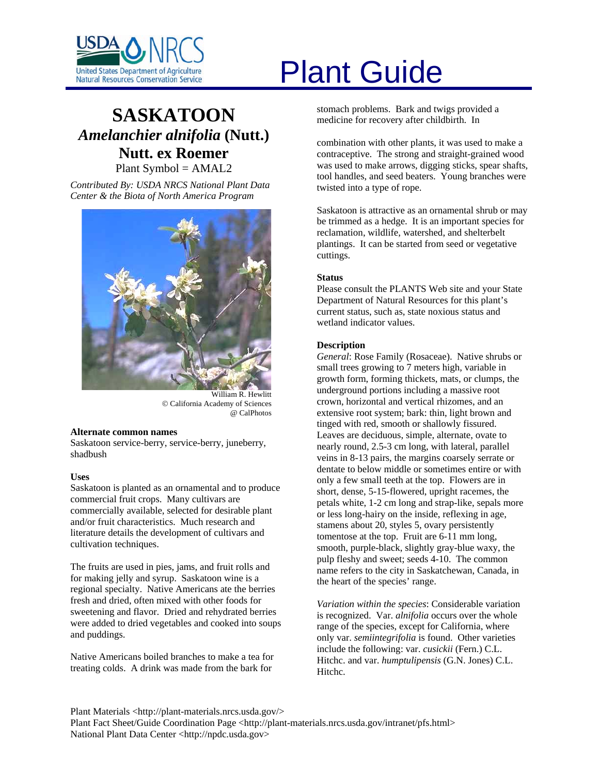

# **SASKATOON** *Amelanchier alnifolia* **(Nutt.) Nutt. ex Roemer** Plant Symbol = AMAL2

*Contributed By: USDA NRCS National Plant Data Center & the Biota of North America Program* 



William R. Hewlitt © California Academy of Sciences @ CalPhotos

#### **Alternate common names**

Saskatoon service-berry, service-berry, juneberry, shadbush

# **Uses**

Saskatoon is planted as an ornamental and to produce commercial fruit crops. Many cultivars are commercially available, selected for desirable plant and/or fruit characteristics. Much research and literature details the development of cultivars and cultivation techniques.

The fruits are used in pies, jams, and fruit rolls and for making jelly and syrup. Saskatoon wine is a regional specialty. Native Americans ate the berries fresh and dried, often mixed with other foods for sweetening and flavor. Dried and rehydrated berries were added to dried vegetables and cooked into soups and puddings.

Native Americans boiled branches to make a tea for treating colds. A drink was made from the bark for

# United States Department of Agriculture<br>Natural Resources Conservation Service

stomach problems. Bark and twigs provided a medicine for recovery after childbirth. In

combination with other plants, it was used to make a contraceptive. The strong and straight-grained wood was used to make arrows, digging sticks, spear shafts, tool handles, and seed beaters. Young branches were twisted into a type of rope.

Saskatoon is attractive as an ornamental shrub or may be trimmed as a hedge. It is an important species for reclamation, wildlife, watershed, and shelterbelt plantings. It can be started from seed or vegetative cuttings.

# **Status**

Please consult the PLANTS Web site and your State Department of Natural Resources for this plant's current status, such as, state noxious status and wetland indicator values.

# **Description**

*General*: Rose Family (Rosaceae). Native shrubs or small trees growing to 7 meters high, variable in growth form, forming thickets, mats, or clumps, the underground portions including a massive root crown, horizontal and vertical rhizomes, and an extensive root system; bark: thin, light brown and tinged with red, smooth or shallowly fissured. Leaves are deciduous, simple, alternate, ovate to nearly round, 2.5-3 cm long, with lateral, parallel veins in 8-13 pairs, the margins coarsely serrate or dentate to below middle or sometimes entire or with only a few small teeth at the top. Flowers are in short, dense, 5-15-flowered, upright racemes, the petals white, 1-2 cm long and strap-like, sepals more or less long-hairy on the inside, reflexing in age, stamens about 20, styles 5, ovary persistently tomentose at the top. Fruit are 6-11 mm long, smooth, purple-black, slightly gray-blue waxy, the pulp fleshy and sweet; seeds 4-10. The common name refers to the city in Saskatchewan, Canada, in the heart of the species' range.

*Variation within the species*: Considerable variation is recognized. Var. *alnifolia* occurs over the whole range of the species, except for California, where only var. *semiintegrifolia* is found. Other varieties include the following: var. *cusickii* (Fern.) C.L. Hitchc. and var. *humptulipensis* (G.N. Jones) C.L. Hitchc.

Plant Materials <http://plant-materials.nrcs.usda.gov/> Plant Fact Sheet/Guide Coordination Page <http://plant-materials.nrcs.usda.gov/intranet/pfs.html> National Plant Data Center <http://npdc.usda.gov>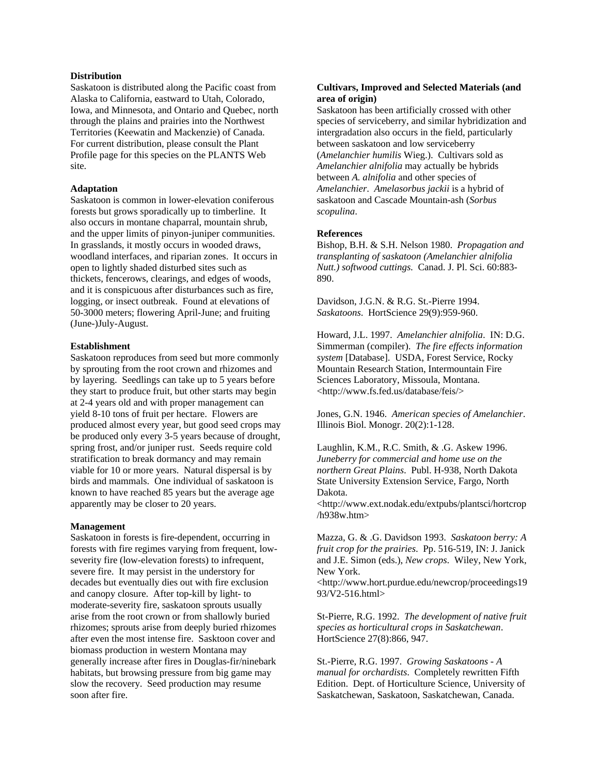# **Distribution**

Saskatoon is distributed along the Pacific coast from Alaska to California, eastward to Utah, Colorado, Iowa, and Minnesota, and Ontario and Quebec, north through the plains and prairies into the Northwest Territories (Keewatin and Mackenzie) of Canada. For current distribution, please consult the Plant Profile page for this species on the PLANTS Web site.

#### **Adaptation**

Saskatoon is common in lower-elevation coniferous forests but grows sporadically up to timberline. It also occurs in montane chaparral, mountain shrub, and the upper limits of pinyon-juniper communities. In grasslands, it mostly occurs in wooded draws, woodland interfaces, and riparian zones. It occurs in open to lightly shaded disturbed sites such as thickets, fencerows, clearings, and edges of woods, and it is conspicuous after disturbances such as fire, logging, or insect outbreak. Found at elevations of 50-3000 meters; flowering April-June; and fruiting (June-)July-August.

#### **Establishment**

Saskatoon reproduces from seed but more commonly by sprouting from the root crown and rhizomes and by layering. Seedlings can take up to 5 years before they start to produce fruit, but other starts may begin at 2-4 years old and with proper management can yield 8-10 tons of fruit per hectare. Flowers are produced almost every year, but good seed crops may be produced only every 3-5 years because of drought, spring frost, and/or juniper rust. Seeds require cold stratification to break dormancy and may remain viable for 10 or more years. Natural dispersal is by birds and mammals. One individual of saskatoon is known to have reached 85 years but the average age apparently may be closer to 20 years.

#### **Management**

Saskatoon in forests is fire-dependent, occurring in forests with fire regimes varying from frequent, lowseverity fire (low-elevation forests) to infrequent, severe fire. It may persist in the understory for decades but eventually dies out with fire exclusion and canopy closure. After top-kill by light- to moderate-severity fire, saskatoon sprouts usually arise from the root crown or from shallowly buried rhizomes; sprouts arise from deeply buried rhizomes after even the most intense fire. Sasktoon cover and biomass production in western Montana may generally increase after fires in Douglas-fir/ninebark habitats, but browsing pressure from big game may slow the recovery. Seed production may resume soon after fire.

# **Cultivars, Improved and Selected Materials (and area of origin)**

Saskatoon has been artificially crossed with other species of serviceberry, and similar hybridization and intergradation also occurs in the field, particularly between saskatoon and low serviceberry (*Amelanchier humilis* Wieg.). Cultivars sold as *Amelanchier alnifolia* may actually be hybrids between *A. alnifolia* and other species of *Amelanchier*. *Amelasorbus jackii* is a hybrid of saskatoon and Cascade Mountain-ash (*Sorbus scopulina*.

# **References**

Bishop, B.H. & S.H. Nelson 1980. *Propagation and transplanting of saskatoon (Amelanchier alnifolia Nutt.) softwood cuttings*. Canad. J. Pl. Sci. 60:883- 890.

Davidson, J.G.N. & R.G. St.-Pierre 1994. *Saskatoons*. HortScience 29(9):959-960.

Howard, J.L. 1997. *Amelanchier alnifolia*. IN: D.G. Simmerman (compiler). *The fire effects information system* [Database]. USDA, Forest Service, Rocky Mountain Research Station, Intermountain Fire Sciences Laboratory, Missoula, Montana. <http://www.fs.fed.us/database/feis/>

Jones, G.N. 1946. *American species of Amelanchier*. Illinois Biol. Monogr. 20(2):1-128.

Laughlin, K.M., R.C. Smith, & .G. Askew 1996. *Juneberry for commercial and home use on the northern Great Plains*. Publ. H-938, North Dakota State University Extension Service, Fargo, North Dakota.

<http://www.ext.nodak.edu/extpubs/plantsci/hortcrop /h938w.htm>

Mazza, G. & .G. Davidson 1993. *Saskatoon berry: A fruit crop for the prairies*. Pp. 516-519, IN: J. Janick and J.E. Simon (eds.), *New crops*. Wiley, New York, New York.

<http://www.hort.purdue.edu/newcrop/proceedings19 93/V2-516.html>

St-Pierre, R.G. 1992. *The development of native fruit species as horticultural crops in Saskatchewan*. HortScience 27(8):866, 947.

St.-Pierre, R.G. 1997. *Growing Saskatoons - A manual for orchardists*. Completely rewritten Fifth Edition. Dept. of Horticulture Science, University of Saskatchewan, Saskatoon, Saskatchewan, Canada.